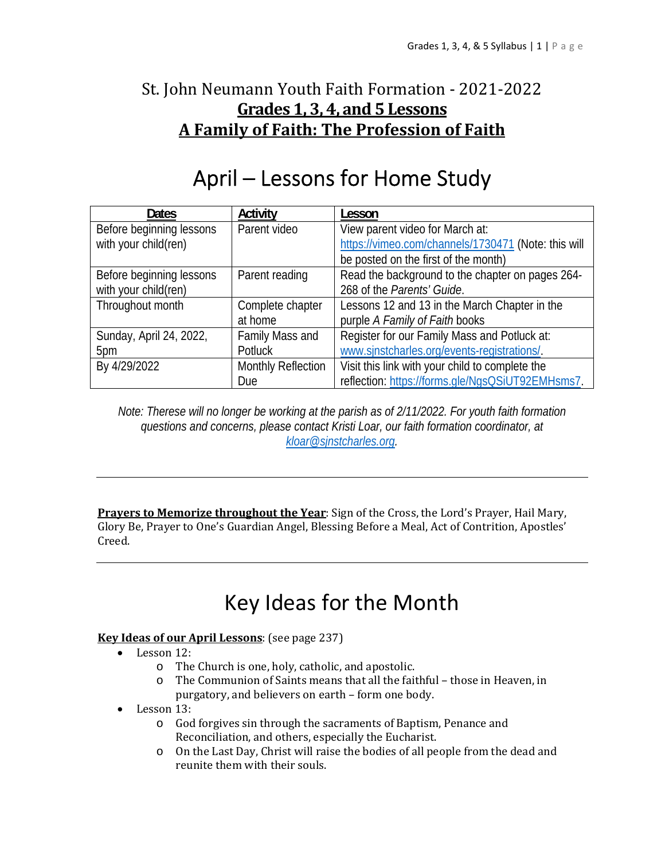## St. John Neumann Youth Faith Formation - 2021-2022 **Grades 1, 3, 4, and 5 Lessons A Family of Faith: The Profession of Faith**

# April – Lessons for Home Study

| <b>Dates</b>             | Activity                  | Lesson                                              |
|--------------------------|---------------------------|-----------------------------------------------------|
| Before beginning lessons | Parent video              | View parent video for March at:                     |
| with your child(ren)     |                           | https://vimeo.com/channels/1730471 (Note: this will |
|                          |                           | be posted on the first of the month)                |
| Before beginning lessons | Parent reading            | Read the background to the chapter on pages 264-    |
| with your child(ren)     |                           | 268 of the Parents' Guide.                          |
| Throughout month         | Complete chapter          | Lessons 12 and 13 in the March Chapter in the       |
|                          | at home                   | purple A Family of Faith books                      |
| Sunday, April 24, 2022,  | Family Mass and           | Register for our Family Mass and Potluck at:        |
| 5pm                      | Potluck                   | www.sjnstcharles.org/events-registrations/.         |
| By 4/29/2022             | <b>Monthly Reflection</b> | Visit this link with your child to complete the     |
|                          | <b>Due</b>                | reflection: https://forms.gle/NgsQSiUT92EMHsms7.    |

*Note: Therese will no longer be working at the parish as of 2/11/2022. For youth faith formation questions and concerns, please contact Kristi Loar, our faith formation coordinator, at kloar@sjnstcharles.org.* 

**Prayers to Memorize throughout the Year**: Sign of the Cross, the Lord's Prayer, Hail Mary, Glory Be, Prayer to One's Guardian Angel, Blessing Before a Meal, Act of Contrition, Apostles' Creed.

# Key Ideas for the Month

#### **Key Ideas of our April Lessons**: (see page 237)

- Lesson 12:
	- o The Church is one, holy, catholic, and apostolic.
	- o The Communion of Saints means that all the faithful those in Heaven, in purgatory, and believers on earth – form one body.
- Lesson 13:
	- o God forgives sin through the sacraments of Baptism, Penance and Reconciliation, and others, especially the Eucharist.
	- o On the Last Day, Christ will raise the bodies of all people from the dead and reunite them with their souls.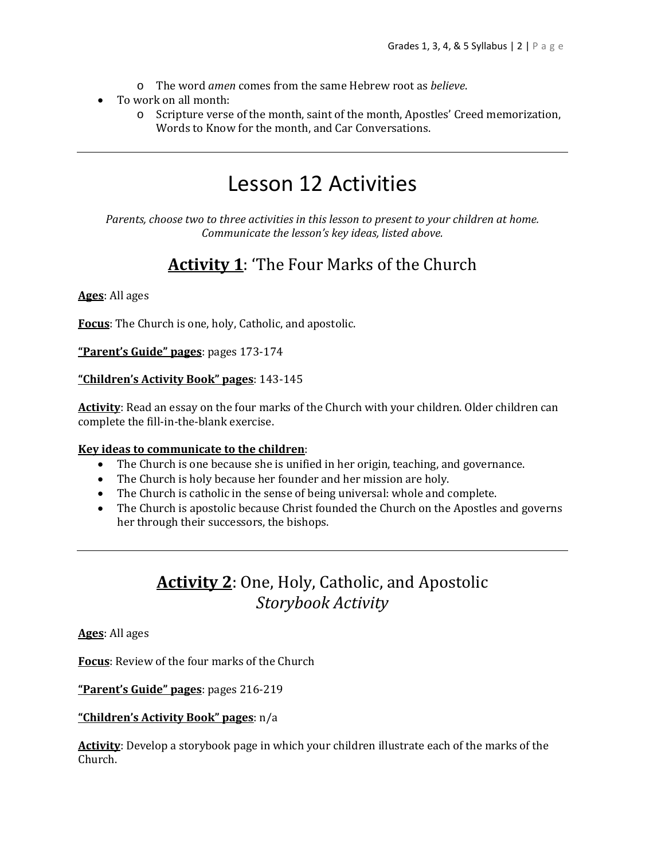- o The word *amen* comes from the same Hebrew root as *believe*.
- To work on all month:
	- o Scripture verse of the month, saint of the month, Apostles' Creed memorization, Words to Know for the month, and Car Conversations.

## Lesson 12 Activities

*Parents, choose two to three activities in this lesson to present to your children at home. Communicate the lesson's key ideas, listed above.*

## **Activity 1**: 'The Four Marks of the Church

#### **Ages**: All ages

**Focus**: The Church is one, holy, Catholic, and apostolic.

**"Parent's Guide" pages**: pages 173-174

#### **"Children's Activity Book" pages**: 143-145

**Activity**: Read an essay on the four marks of the Church with your children. Older children can complete the fill-in-the-blank exercise.

#### **Key ideas to communicate to the children**:

- The Church is one because she is unified in her origin, teaching, and governance.
- The Church is holy because her founder and her mission are holy.
- The Church is catholic in the sense of being universal: whole and complete.
- The Church is apostolic because Christ founded the Church on the Apostles and governs her through their successors, the bishops.

### **Activity 2**: One, Holy, Catholic, and Apostolic *Storybook Activity*

**Ages**: All ages

**Focus**: Review of the four marks of the Church

**"Parent's Guide" pages**: pages 216-219

#### **"Children's Activity Book" pages**: n/a

**Activity**: Develop a storybook page in which your children illustrate each of the marks of the Church.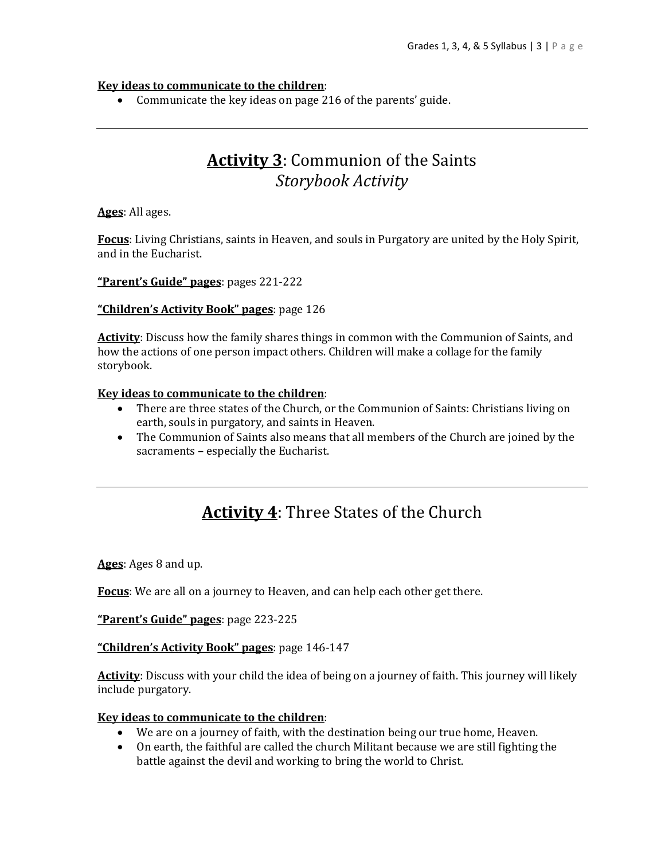#### **Key ideas to communicate to the children**:

Communicate the key ideas on page 216 of the parents' guide.

### **Activity 3**: Communion of the Saints *Storybook Activity*

**Ages**: All ages.

**Focus**: Living Christians, saints in Heaven, and souls in Purgatory are united by the Holy Spirit, and in the Eucharist.

**"Parent's Guide" pages**: pages 221-222

#### **"Children's Activity Book" pages**: page 126

**Activity**: Discuss how the family shares things in common with the Communion of Saints, and how the actions of one person impact others. Children will make a collage for the family storybook.

#### **Key ideas to communicate to the children**:

- There are three states of the Church, or the Communion of Saints: Christians living on earth, souls in purgatory, and saints in Heaven.
- The Communion of Saints also means that all members of the Church are joined by the sacraments – especially the Eucharist.

## **Activity 4**: Three States of the Church

**Ages**: Ages 8 and up.

**Focus**: We are all on a journey to Heaven, and can help each other get there.

**"Parent's Guide" pages**: page 223-225

#### **"Children's Activity Book" pages**: page 146-147

**Activity**: Discuss with your child the idea of being on a journey of faith. This journey will likely include purgatory.

#### **Key ideas to communicate to the children**:

- We are on a journey of faith, with the destination being our true home, Heaven.
- On earth, the faithful are called the church Militant because we are still fighting the battle against the devil and working to bring the world to Christ.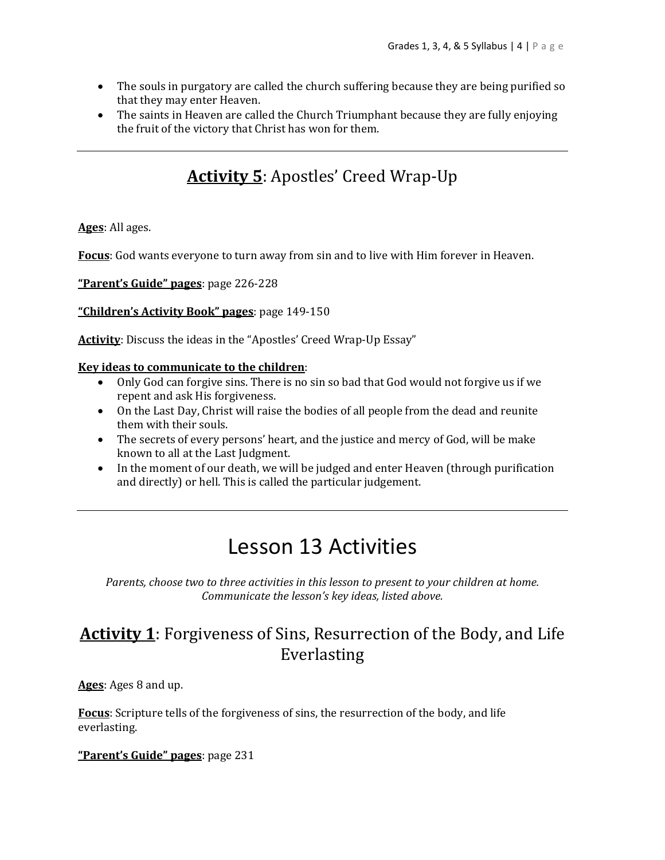- The souls in purgatory are called the church suffering because they are being purified so that they may enter Heaven.
- The saints in Heaven are called the Church Triumphant because they are fully enjoying the fruit of the victory that Christ has won for them.

## **Activity 5**: Apostles' Creed Wrap-Up

**Ages**: All ages.

**Focus**: God wants everyone to turn away from sin and to live with Him forever in Heaven.

**"Parent's Guide" pages**: page 226-228

**"Children's Activity Book" pages**: page 149-150

Activity: Discuss the ideas in the "Apostles' Creed Wrap-Up Essay"

#### **Key ideas to communicate to the children**:

- Only God can forgive sins. There is no sin so bad that God would not forgive us if we repent and ask His forgiveness.
- On the Last Day, Christ will raise the bodies of all people from the dead and reunite them with their souls.
- The secrets of every persons' heart, and the justice and mercy of God, will be make known to all at the Last Judgment.
- In the moment of our death, we will be judged and enter Heaven (through purification and directly) or hell. This is called the particular judgement.

## Lesson 13 Activities

*Parents, choose two to three activities in this lesson to present to your children at home. Communicate the lesson's key ideas, listed above.*

### **Activity 1**: Forgiveness of Sins, Resurrection of the Body, and Life Everlasting

**Ages**: Ages 8 and up.

**Focus**: Scripture tells of the forgiveness of sins, the resurrection of the body, and life everlasting.

**"Parent's Guide" pages**: page 231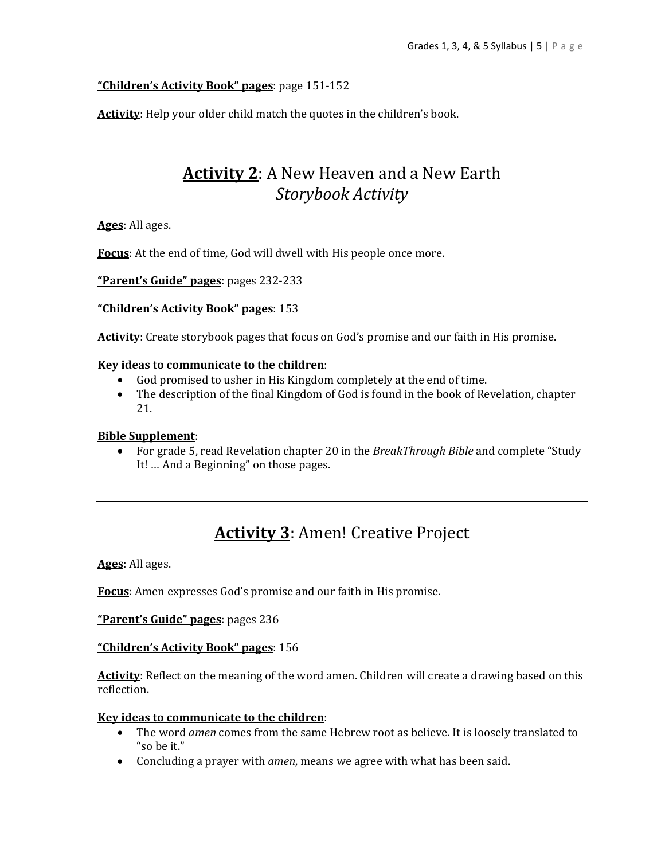#### **"Children's Activity Book" pages**: page 151-152

Activity: Help your older child match the quotes in the children's book.

### **Activity 2**: A New Heaven and a New Earth *Storybook Activity*

**Ages**: All ages.

**Focus**: At the end of time, God will dwell with His people once more.

**"Parent's Guide" pages**: pages 232-233

**"Children's Activity Book" pages**: 153

**Activity**: Create storybook pages that focus on God's promise and our faith in His promise.

#### **Key ideas to communicate to the children**:

- God promised to usher in His Kingdom completely at the end of time.
- The description of the final Kingdom of God is found in the book of Revelation, chapter 21.

#### **Bible Supplement**:

 For grade 5, read Revelation chapter 20 in the *BreakThrough Bible* and complete "Study It! … And a Beginning" on those pages.

## **Activity 3**: Amen! Creative Project

**Ages**: All ages.

**Focus**: Amen expresses God's promise and our faith in His promise.

**"Parent's Guide" pages**: pages 236

#### **"Children's Activity Book" pages**: 156

**Activity**: Reflect on the meaning of the word amen. Children will create a drawing based on this reflection.

#### **Key ideas to communicate to the children**:

- The word *amen* comes from the same Hebrew root as believe. It is loosely translated to "so be it."
- Concluding a prayer with *amen*, means we agree with what has been said.